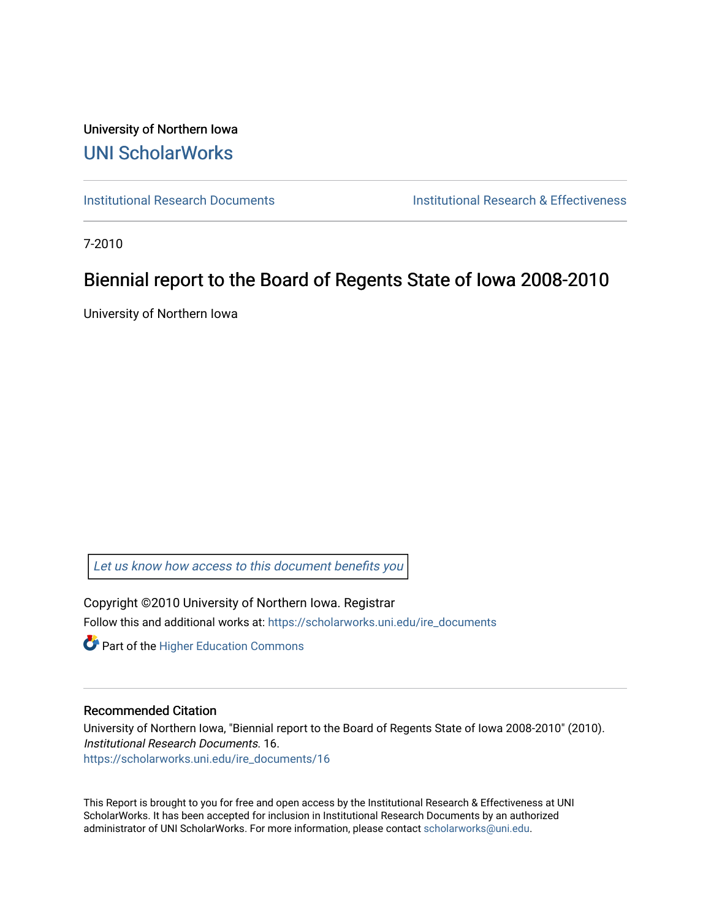University of Northern Iowa [UNI ScholarWorks](https://scholarworks.uni.edu/) 

[Institutional Research Documents](https://scholarworks.uni.edu/ire_documents) [Institutional Research & Effectiveness](https://scholarworks.uni.edu/ire) 

7-2010

# Biennial report to the Board of Regents State of Iowa 2008-2010

University of Northern Iowa

[Let us know how access to this document benefits you](https://scholarworks.uni.edu/feedback_form.html) 

Copyright ©2010 University of Northern Iowa. Registrar Follow this and additional works at: [https://scholarworks.uni.edu/ire\\_documents](https://scholarworks.uni.edu/ire_documents?utm_source=scholarworks.uni.edu%2Fire_documents%2F16&utm_medium=PDF&utm_campaign=PDFCoverPages) 

**Part of the Higher Education Commons** 

#### Recommended Citation

University of Northern Iowa, "Biennial report to the Board of Regents State of Iowa 2008-2010" (2010). Institutional Research Documents. 16. [https://scholarworks.uni.edu/ire\\_documents/16](https://scholarworks.uni.edu/ire_documents/16?utm_source=scholarworks.uni.edu%2Fire_documents%2F16&utm_medium=PDF&utm_campaign=PDFCoverPages)

This Report is brought to you for free and open access by the Institutional Research & Effectiveness at UNI ScholarWorks. It has been accepted for inclusion in Institutional Research Documents by an authorized administrator of UNI ScholarWorks. For more information, please contact [scholarworks@uni.edu](mailto:scholarworks@uni.edu).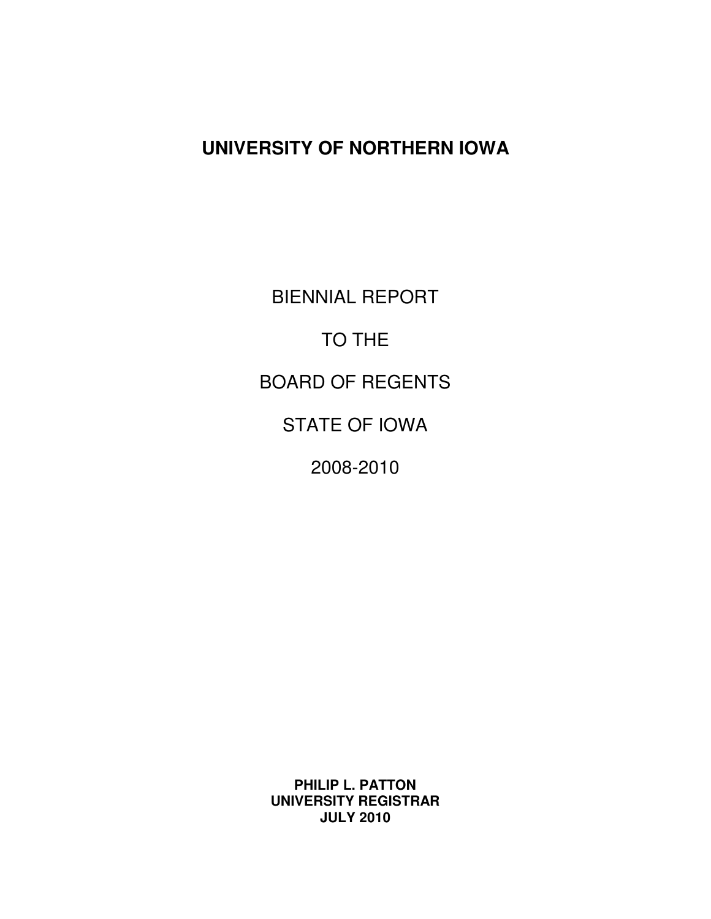# **UNIVERSITY OF NORTHERN IOWA**

 BIENNIAL REPORT TO THE BOARD OF REGENTS STATE OF IOWA 2008-2010

 **PHILIP L. PATTON UNIVERSITY REGISTRAR JULY 2010**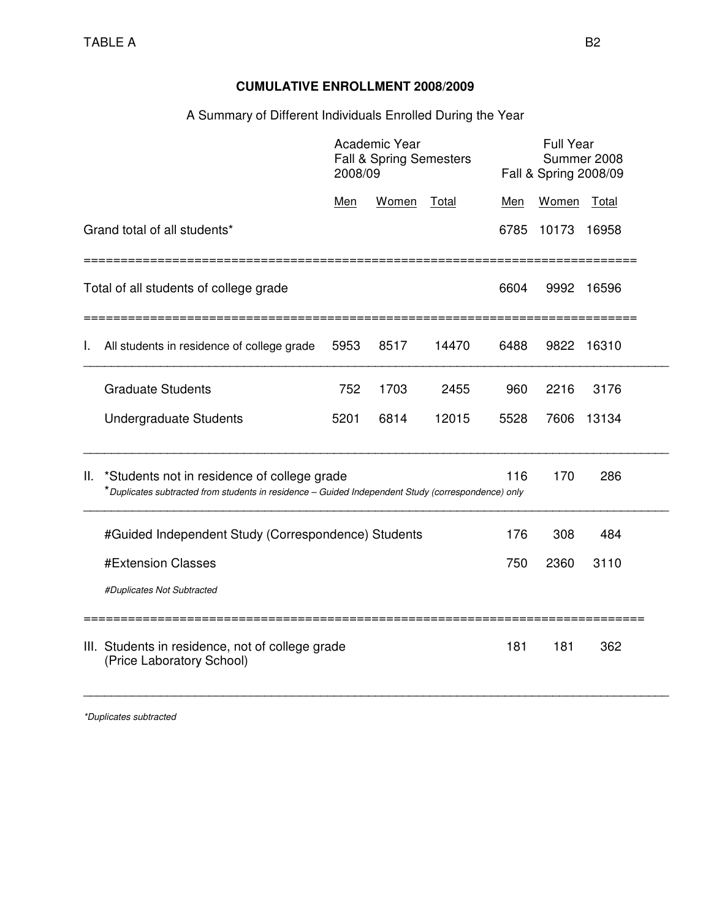# **CUMULATIVE ENROLLMENT 2008/2009**

## A Summary of Different Individuals Enrolled During the Year

|                                                                                                                                                                              |                                                                               | 2008/09 | Academic Year<br><b>Fall &amp; Spring Semesters</b> |       |      |       | <b>Full Year</b><br>Summer 2008<br>Fall & Spring 2008/09 |  |
|------------------------------------------------------------------------------------------------------------------------------------------------------------------------------|-------------------------------------------------------------------------------|---------|-----------------------------------------------------|-------|------|-------|----------------------------------------------------------|--|
|                                                                                                                                                                              |                                                                               | Men     | Women                                               | Total | Men  | Women | Total                                                    |  |
|                                                                                                                                                                              | Grand total of all students*                                                  |         |                                                     |       | 6785 | 10173 | 16958                                                    |  |
|                                                                                                                                                                              | Total of all students of college grade                                        |         |                                                     |       | 6604 | 9992  | 16596                                                    |  |
| I.                                                                                                                                                                           | All students in residence of college grade                                    | 5953    | 8517                                                | 14470 | 6488 | 9822  | 16310                                                    |  |
|                                                                                                                                                                              | <b>Graduate Students</b>                                                      | 752     | 1703                                                | 2455  | 960  | 2216  | 3176                                                     |  |
|                                                                                                                                                                              | <b>Undergraduate Students</b>                                                 | 5201    | 6814                                                | 12015 | 5528 | 7606  | 13134                                                    |  |
| *Students not in residence of college grade<br>116<br>170<br>286<br>Ш.<br>*Duplicates subtracted from students in residence - Guided Independent Study (correspondence) only |                                                                               |         |                                                     |       |      |       |                                                          |  |
|                                                                                                                                                                              | #Guided Independent Study (Correspondence) Students                           |         |                                                     |       | 176  | 308   | 484                                                      |  |
|                                                                                                                                                                              | #Extension Classes                                                            |         |                                                     |       | 750  | 2360  | 3110                                                     |  |
|                                                                                                                                                                              | #Duplicates Not Subtracted                                                    |         |                                                     |       |      |       |                                                          |  |
|                                                                                                                                                                              | III. Students in residence, not of college grade<br>(Price Laboratory School) |         |                                                     |       | 181  | 181   | 362                                                      |  |

\*Duplicates subtracted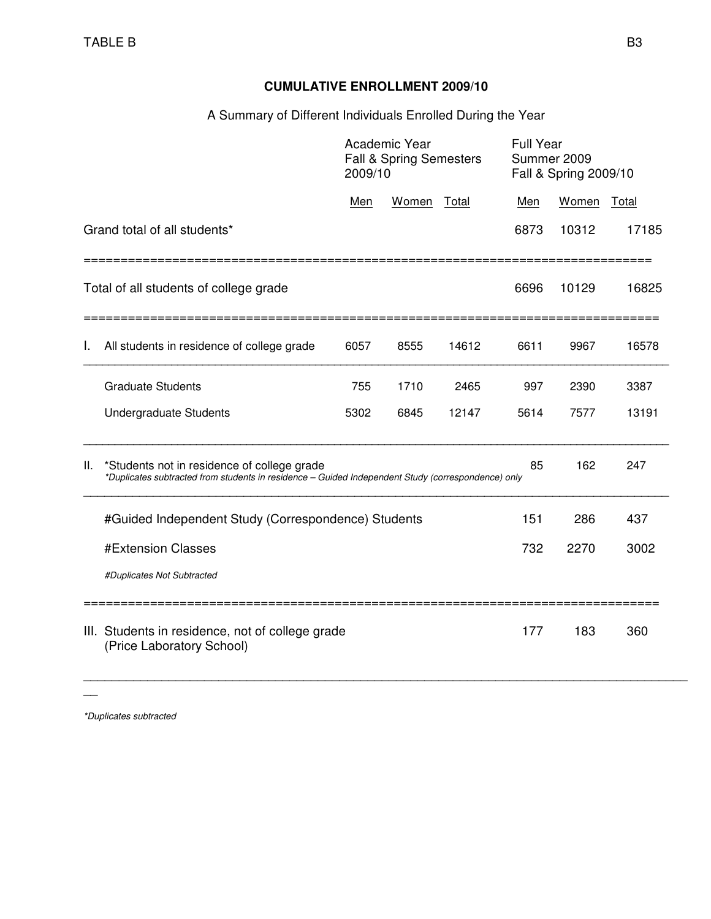# **CUMULATIVE ENROLLMENT 2009/10**

# A Summary of Different Individuals Enrolled During the Year

|    |                                                                                                                                                   | 2009/10 | Academic Year<br>Fall & Spring Semesters |       | <b>Full Year</b> | Summer 2009<br>Fall & Spring 2009/10 |       |
|----|---------------------------------------------------------------------------------------------------------------------------------------------------|---------|------------------------------------------|-------|------------------|--------------------------------------|-------|
|    |                                                                                                                                                   | Men     | Women                                    | Total | Men              | Women                                | Total |
|    | Grand total of all students*                                                                                                                      |         |                                          |       | 6873             | 10312                                | 17185 |
|    | Total of all students of college grade                                                                                                            |         |                                          |       | 6696             | 10129                                | 16825 |
| I. | All students in residence of college grade                                                                                                        | 6057    | 8555                                     | 14612 | 6611             | 9967                                 | 16578 |
|    | <b>Graduate Students</b>                                                                                                                          | 755     | 1710                                     | 2465  | 997              | 2390                                 | 3387  |
|    | Undergraduate Students                                                                                                                            | 5302    | 6845                                     | 12147 | 5614             | 7577                                 | 13191 |
| Ш. | *Students not in residence of college grade<br>*Duplicates subtracted from students in residence - Guided Independent Study (correspondence) only |         |                                          |       | 85               | 162                                  | 247   |
|    | #Guided Independent Study (Correspondence) Students                                                                                               |         |                                          |       | 151              | 286                                  | 437   |
|    | #Extension Classes                                                                                                                                | 732     | 2270                                     | 3002  |                  |                                      |       |
|    | #Duplicates Not Subtracted                                                                                                                        |         |                                          |       |                  |                                      |       |
|    | III. Students in residence, not of college grade<br>(Price Laboratory School)                                                                     |         |                                          |       | 177              | 183                                  | 360   |

\_\_\_\_\_\_\_\_\_\_\_\_\_\_\_\_\_\_\_\_\_\_\_\_\_\_\_\_\_\_\_\_\_\_\_\_\_\_\_\_\_\_\_\_\_\_\_\_\_\_\_\_\_\_\_\_\_\_\_\_\_\_\_\_\_\_\_\_\_\_\_\_\_\_\_\_\_\_\_\_\_\_\_\_\_

\*Duplicates subtracted

 $\overline{\phantom{a}}$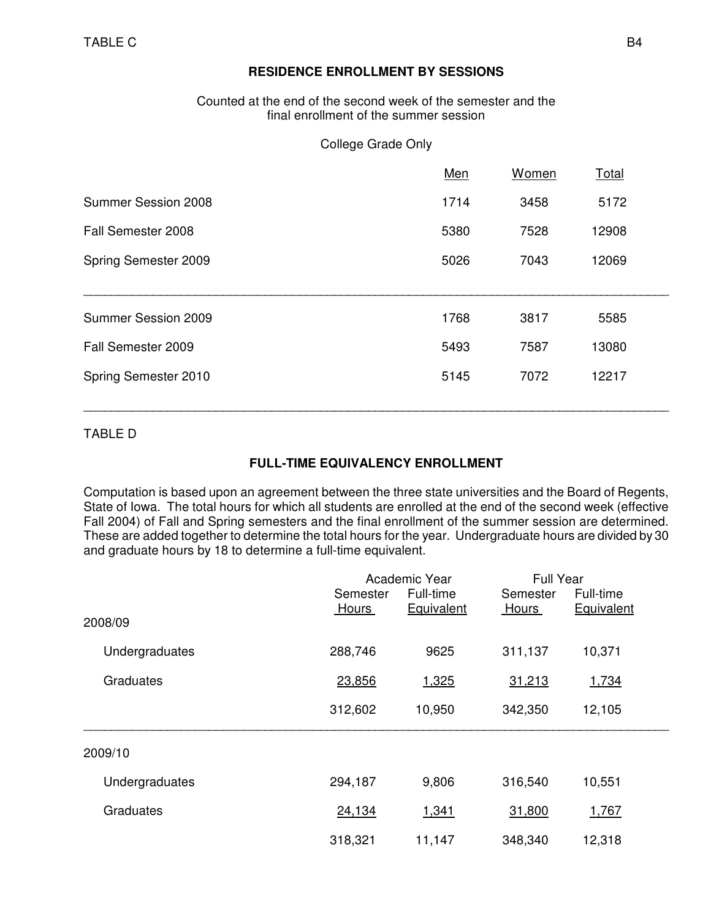### **RESIDENCE ENROLLMENT BY SESSIONS**

 Counted at the end of the second week of the semester and the final enrollment of the summer session

#### College Grade Only

|                      | Men  | Women | <b>Total</b> |  |
|----------------------|------|-------|--------------|--|
| Summer Session 2008  | 1714 | 3458  | 5172         |  |
| Fall Semester 2008   | 5380 | 7528  | 12908        |  |
| Spring Semester 2009 | 5026 | 7043  | 12069        |  |
|                      |      |       |              |  |
| Summer Session 2009  | 1768 | 3817  | 5585         |  |
| Fall Semester 2009   | 5493 | 7587  | 13080        |  |
| Spring Semester 2010 | 5145 | 7072  | 12217        |  |
|                      |      |       |              |  |

TABLE D

### **FULL-TIME EQUIVALENCY ENROLLMENT**

\_\_\_\_\_\_\_\_\_\_\_\_\_\_\_\_\_\_\_\_\_\_\_\_\_\_\_\_\_\_\_\_\_\_\_\_\_\_\_\_\_\_\_\_\_\_\_\_\_\_\_\_\_\_\_\_\_\_\_\_\_\_\_\_\_\_\_\_\_\_\_\_\_\_\_\_\_\_\_\_\_\_\_\_\_

Computation is based upon an agreement between the three state universities and the Board of Regents, State of Iowa. The total hours for which all students are enrolled at the end of the second week (effective Fall 2004) of Fall and Spring semesters and the final enrollment of the summer session are determined. These are added together to determine the total hours for the year. Undergraduate hours are divided by 30 and graduate hours by 18 to determine a full-time equivalent.

|                  |          | Academic Year | <b>Full Year</b> |            |  |
|------------------|----------|---------------|------------------|------------|--|
|                  | Semester | Full-time     | Semester         | Full-time  |  |
|                  | Hours    | Equivalent    | <b>Hours</b>     | Equivalent |  |
| 2008/09          |          |               |                  |            |  |
| Undergraduates   | 288,746  | 9625          | 311,137          | 10,371     |  |
| <b>Graduates</b> | 23,856   | 1,325         | 31,213           | 1,734      |  |
|                  | 312,602  | 10,950        | 342,350          | 12,105     |  |
| 2009/10          |          |               |                  |            |  |
| Undergraduates   | 294,187  | 9,806         | 316,540          | 10,551     |  |
| <b>Graduates</b> | 24,134   | 1,341         | 31,800           | 1,767      |  |
|                  | 318,321  | 11,147        | 348,340          | 12,318     |  |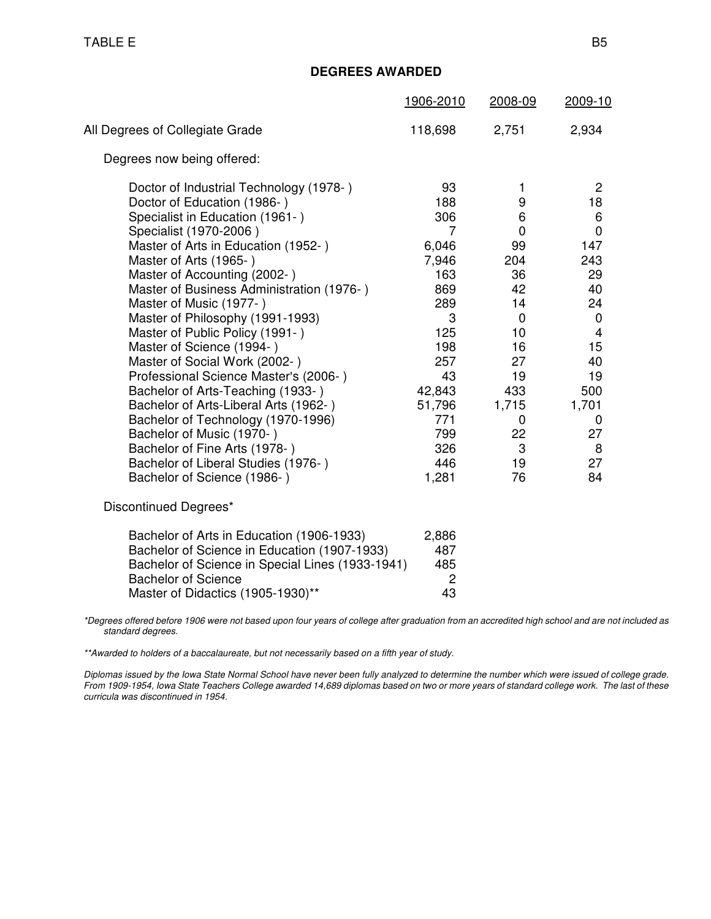### **DEGREES AWARDED**

|                                                                                                                                                                                                                                                                                                                                                                                                                                                                                                                                                                                                                                                                                                                                                    | 1906-2010                                                                                                                                             | 2008-09                                                                                                                                               | 2009-10                                                                                                                                                    |
|----------------------------------------------------------------------------------------------------------------------------------------------------------------------------------------------------------------------------------------------------------------------------------------------------------------------------------------------------------------------------------------------------------------------------------------------------------------------------------------------------------------------------------------------------------------------------------------------------------------------------------------------------------------------------------------------------------------------------------------------------|-------------------------------------------------------------------------------------------------------------------------------------------------------|-------------------------------------------------------------------------------------------------------------------------------------------------------|------------------------------------------------------------------------------------------------------------------------------------------------------------|
| All Degrees of Collegiate Grade                                                                                                                                                                                                                                                                                                                                                                                                                                                                                                                                                                                                                                                                                                                    | 118,698                                                                                                                                               | 2,751                                                                                                                                                 | 2,934                                                                                                                                                      |
| Degrees now being offered:                                                                                                                                                                                                                                                                                                                                                                                                                                                                                                                                                                                                                                                                                                                         |                                                                                                                                                       |                                                                                                                                                       |                                                                                                                                                            |
| Doctor of Industrial Technology (1978-)<br>Doctor of Education (1986-)<br>Specialist in Education (1961-)<br>Specialist (1970-2006)<br>Master of Arts in Education (1952-)<br>Master of Arts (1965-)<br>Master of Accounting (2002-)<br>Master of Business Administration (1976-)<br>Master of Music (1977-)<br>Master of Philosophy (1991-1993)<br>Master of Public Policy (1991-)<br>Master of Science (1994-)<br>Master of Social Work (2002-)<br>Professional Science Master's (2006-)<br>Bachelor of Arts-Teaching (1933-)<br>Bachelor of Arts-Liberal Arts (1962-)<br>Bachelor of Technology (1970-1996)<br>Bachelor of Music (1970-)<br>Bachelor of Fine Arts (1978-)<br>Bachelor of Liberal Studies (1976-)<br>Bachelor of Science (1986-) | 93<br>188<br>306<br>7<br>6,046<br>7,946<br>163<br>869<br>289<br>3<br>125<br>198<br>257<br>43<br>42,843<br>51,796<br>771<br>799<br>326<br>446<br>1,281 | 1<br>9<br>$\,6\,$<br>0<br>99<br>204<br>36<br>42<br>14<br>$\mathbf 0$<br>10 <sup>1</sup><br>16<br>27<br>19<br>433<br>1,715<br>0<br>22<br>3<br>19<br>76 | $\overline{2}$<br>18<br>6<br>$\mathbf 0$<br>147<br>243<br>29<br>40<br>24<br>$\mathbf 0$<br>4<br>15<br>40<br>19<br>500<br>1,701<br>0<br>27<br>8<br>27<br>84 |
| Discontinued Degrees*                                                                                                                                                                                                                                                                                                                                                                                                                                                                                                                                                                                                                                                                                                                              |                                                                                                                                                       |                                                                                                                                                       |                                                                                                                                                            |
| Bachelor of Arts in Education (1906-1933)<br>Bachelor of Science in Education (1907-1933)<br>Bachelor of Science in Special Lines (1933-1941)                                                                                                                                                                                                                                                                                                                                                                                                                                                                                                                                                                                                      | 2,886<br>487<br>485                                                                                                                                   |                                                                                                                                                       |                                                                                                                                                            |

\*Degrees offered before 1906 were not based upon four years of college after graduation from an accredited high school and are not included as standard degrees.

\*\*Awarded to holders of a baccalaureate, but not necessarily based on a fifth year of study.

Master of Didactics (1905-1930)\*\*

Bachelor of Science<br>
Master of Didactics (1905-1930)\*\*<br>
43

Diplomas issued by the Iowa State Normal School have never been fully analyzed to determine the number which were issued of college grade. From 1909-1954, Iowa State Teachers College awarded 14,689 diplomas based on two or more years of standard college work. The last of these curricula was discontinued in 1954.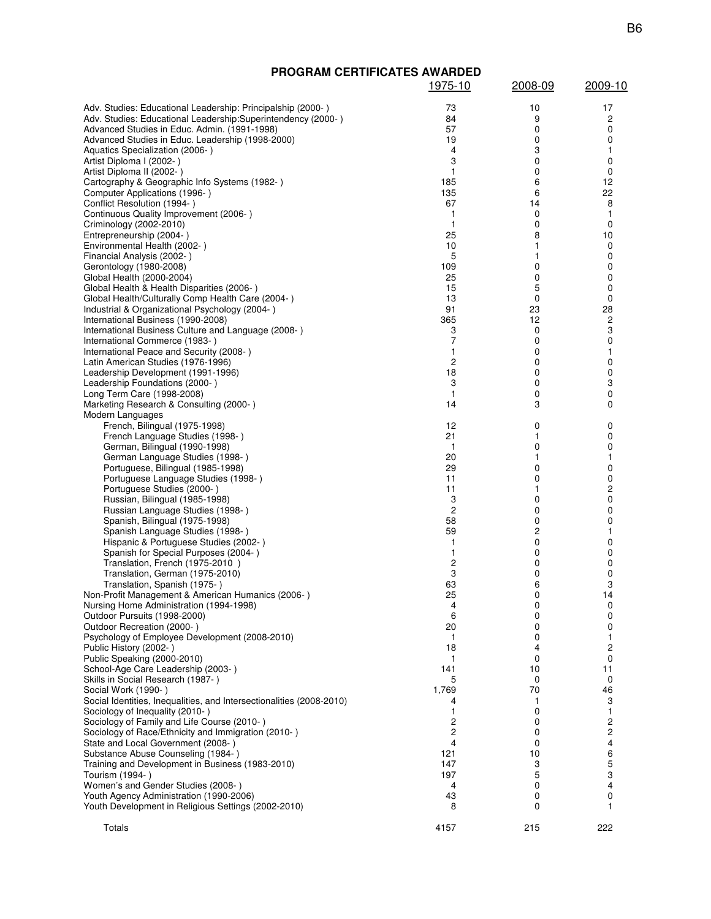| <b>PROGRAM CERTIFICATES AWARDED</b>                                                                 |                              |         |                         |
|-----------------------------------------------------------------------------------------------------|------------------------------|---------|-------------------------|
|                                                                                                     | <u>1975-10</u>               | 2008-09 | 2009-10                 |
| Adv. Studies: Educational Leadership: Principalship (2000-)                                         | 73                           | 10      | 17                      |
| Adv. Studies: Educational Leadership: Superintendency (2000-)                                       | 84                           | 9       | 2                       |
| Advanced Studies in Educ. Admin. (1991-1998)                                                        | 57                           | 0       | 0                       |
| Advanced Studies in Educ. Leadership (1998-2000)                                                    | 19                           | 0       | 0                       |
| Aquatics Specialization (2006-)<br>Artist Diploma I (2002-)                                         | 4<br>3                       | 3<br>0  | 1<br>0                  |
| Artist Diploma II (2002-)                                                                           | 1                            | 0       | 0                       |
| Cartography & Geographic Info Systems (1982-)                                                       | 185                          | 6       | 12                      |
| Computer Applications (1996-)                                                                       | 135                          | 6       | 22                      |
| Conflict Resolution (1994-)<br>Continuous Quality Improvement (2006-)                               | 67<br>1                      | 14<br>0 | 8<br>1                  |
| Criminology (2002-2010)                                                                             | 1                            | 0       | 0                       |
| Entrepreneurship (2004-)                                                                            | 25                           | 8       | 10                      |
| Environmental Health (2002-)                                                                        | 10<br>5                      | 1<br>1  | 0<br>0                  |
| Financial Analysis (2002-)<br>Gerontology (1980-2008)                                               | 109                          | 0       | 0                       |
| Global Health (2000-2004)                                                                           | 25                           | 0       | 0                       |
| Global Health & Health Disparities (2006-)                                                          | 15                           | 5       | 0                       |
| Global Health/Culturally Comp Health Care (2004-)<br>Industrial & Organizational Psychology (2004-) | 13<br>91                     | 0<br>23 | 0<br>28                 |
| International Business (1990-2008)                                                                  | 365                          | 12      | $\overline{\mathbf{c}}$ |
| International Business Culture and Language (2008-)                                                 | 3                            | 0       | 3                       |
| International Commerce (1983-)                                                                      | 7                            | 0       | 0                       |
| International Peace and Security (2008-)<br>Latin American Studies (1976-1996)                      | 1<br>$\overline{c}$          | 0<br>0  | 1<br>0                  |
| Leadership Development (1991-1996)                                                                  | 18                           | 0       | 0                       |
| Leadership Foundations (2000-)                                                                      | 3                            | 0       | 3                       |
| Long Term Care (1998-2008)                                                                          | $\mathbf{1}$                 | 0       | 0                       |
| Marketing Research & Consulting (2000-)<br>Modern Languages                                         | 14                           | 3       | 0                       |
| French, Bilingual (1975-1998)                                                                       | 12                           | 0       | 0                       |
| French Language Studies (1998-)                                                                     | 21                           | 1       | 0                       |
| German, Bilingual (1990-1998)                                                                       | $\mathbf{1}$                 | 0       | 0                       |
| German Language Studies (1998-)<br>Portuguese, Bilingual (1985-1998)                                | 20<br>29                     | 1<br>0  | 1<br>0                  |
| Portuguese Language Studies (1998-)                                                                 | 11                           | 0       | 0                       |
| Portuguese Studies (2000-)                                                                          | 11                           | 1       | 2                       |
| Russian, Bilingual (1985-1998)                                                                      | 3                            | 0       | 0                       |
| Russian Language Studies (1998-)<br>Spanish, Bilingual (1975-1998)                                  | $\overline{c}$<br>58         | 0<br>0  | 0<br>0                  |
| Spanish Language Studies (1998-)                                                                    | 59                           | 2       | 1                       |
| Hispanic & Portuguese Studies (2002-)                                                               | 1                            | 0       | 0                       |
| Spanish for Special Purposes (2004-)                                                                | 1                            | 0       | 0                       |
| Translation, French (1975-2010)<br>Translation, German (1975-2010)                                  | $\overline{\mathbf{c}}$<br>3 | 0<br>0  | 0<br>0                  |
| Translation, Spanish (1975-)                                                                        | 63                           | 6       | 3                       |
| Non-Profit Management & American Humanics (2006-)                                                   | 25                           | 0       | 14                      |
| Nursing Home Administration (1994-1998)<br>Outdoor Pursuits (1998-2000)                             | 4<br>6                       | 0<br>0  | 0<br>0                  |
| Outdoor Recreation (2000-)                                                                          | 20                           | 0       | 0                       |
| Psychology of Employee Development (2008-2010)                                                      | 1                            | 0       | 1                       |
| Public History (2002-)                                                                              | 18                           | 4       | 2                       |
| Public Speaking (2000-2010)<br>School-Age Care Leadership (2003-)                                   | 1<br>141                     | 0<br>10 | 0<br>11                 |
| Skills in Social Research (1987-)                                                                   | 5                            | 0       | 0                       |
| Social Work (1990-)                                                                                 | 1,769                        | 70      | 46                      |
| Social Identities, Inequalities, and Intersectionalities (2008-2010)                                | 4                            | 1       | 3                       |
| Sociology of Inequality (2010-)<br>Sociology of Family and Life Course (2010-)                      | 1<br>2                       | 0<br>0  | 1<br>2                  |
| Sociology of Race/Ethnicity and Immigration (2010-)                                                 | 2                            | 0       | 2                       |
| State and Local Government (2008-)                                                                  | 4                            | 0       | 4                       |
| Substance Abuse Counseling (1984-)                                                                  | 121                          | 10      | 6                       |
| Training and Development in Business (1983-2010)<br>Tourism (1994-)                                 | 147<br>197                   | 3<br>5  | 5<br>3                  |
| Women's and Gender Studies (2008-)                                                                  | 4                            | 0       | 4                       |
| Youth Agency Administration (1990-2006)                                                             | 43                           | 0       | 0                       |
| Youth Development in Religious Settings (2002-2010)                                                 | 8                            | 0       | 1                       |
| Totals                                                                                              | 4157                         | 215     | 222                     |
|                                                                                                     |                              |         |                         |